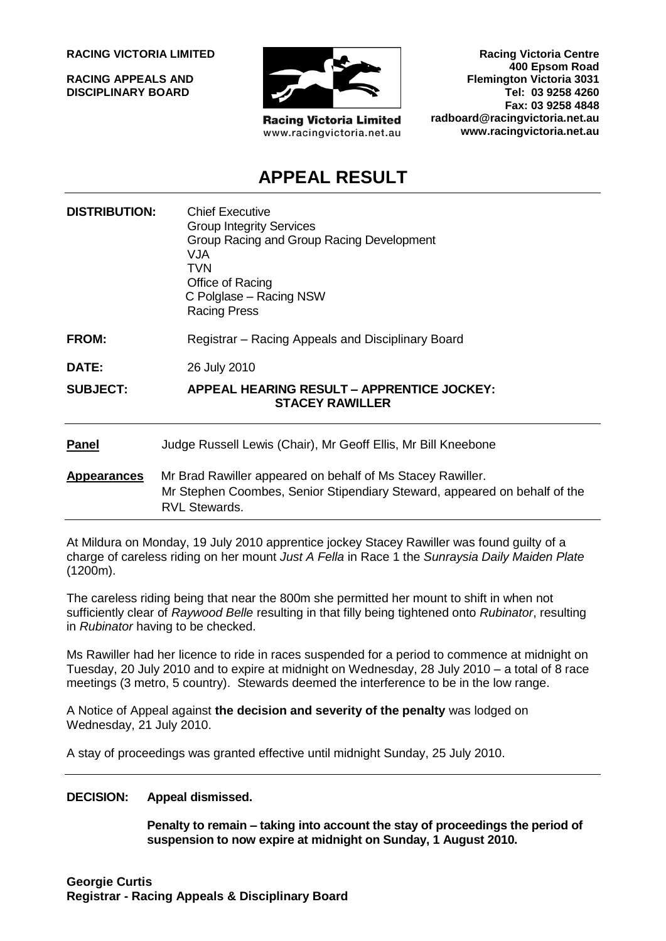**RACING VICTORIA LIMITED**

**RACING APPEALS AND DISCIPLINARY BOARD**



**Racing Victoria Limited** www.racingvictoria.net.au

**Racing Victoria Centre 400 Epsom Road Flemington Victoria 3031 Tel: 03 9258 4260 Fax: 03 9258 4848 radboard@racingvictoria.net.au www.racingvictoria.net.au**

# **APPEAL RESULT**

| <b>DISTRIBUTION:</b> | <b>Chief Executive</b><br><b>Group Integrity Services</b><br>Group Racing and Group Racing Development<br>VJA.<br><b>TVN</b><br>Office of Racing<br>C Polglase - Racing NSW<br><b>Racing Press</b> |
|----------------------|----------------------------------------------------------------------------------------------------------------------------------------------------------------------------------------------------|
| <b>FROM:</b>         | Registrar – Racing Appeals and Disciplinary Board                                                                                                                                                  |
| DATE:                | 26 July 2010                                                                                                                                                                                       |
| <b>SUBJECT:</b>      | APPEAL HEARING RESULT - APPRENTICE JOCKEY:<br><b>STACEY RAWILLER</b>                                                                                                                               |
| <b>Panel</b>         | Judge Russell Lewis (Chair), Mr Geoff Ellis, Mr Bill Kneebone                                                                                                                                      |
| <b>Appearances</b>   | Mr Brad Rawiller appeared on behalf of Ms Stacey Rawiller.<br>Mr Stephen Coombes, Senior Stipendiary Steward, appeared on behalf of the<br><b>RVL Stewards.</b>                                    |

At Mildura on Monday, 19 July 2010 apprentice jockey Stacey Rawiller was found guilty of a charge of careless riding on her mount *Just A Fella* in Race 1 the *Sunraysia Daily Maiden Plate* (1200m).

The careless riding being that near the 800m she permitted her mount to shift in when not sufficiently clear of *Raywood Belle* resulting in that filly being tightened onto *Rubinator*, resulting in *Rubinator* having to be checked.

Ms Rawiller had her licence to ride in races suspended for a period to commence at midnight on Tuesday, 20 July 2010 and to expire at midnight on Wednesday, 28 July 2010 – a total of 8 race meetings (3 metro, 5 country). Stewards deemed the interference to be in the low range.

A Notice of Appeal against **the decision and severity of the penalty** was lodged on Wednesday, 21 July 2010.

A stay of proceedings was granted effective until midnight Sunday, 25 July 2010.

#### **DECISION: Appeal dismissed.**

**Penalty to remain – taking into account the stay of proceedings the period of suspension to now expire at midnight on Sunday, 1 August 2010.**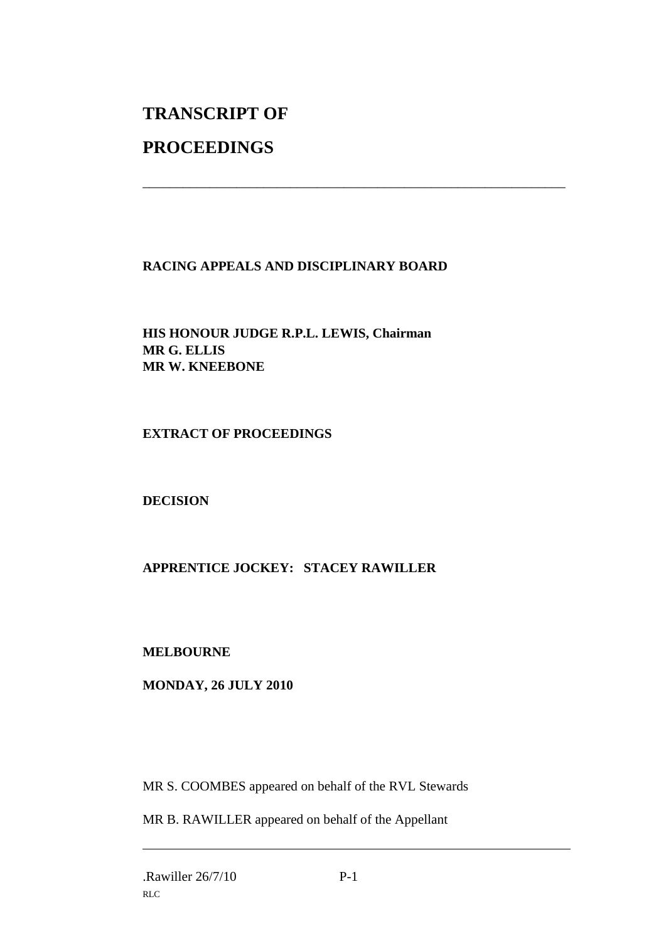# **TRANSCRIPT OF**

## **PROCEEDINGS**

## **RACING APPEALS AND DISCIPLINARY BOARD**

\_\_\_\_\_\_\_\_\_\_\_\_\_\_\_\_\_\_\_\_\_\_\_\_\_\_\_\_\_\_\_\_\_\_\_\_\_\_\_\_\_\_\_\_\_\_\_\_\_\_\_\_\_\_\_\_\_\_\_\_\_\_\_

**HIS HONOUR JUDGE R.P.L. LEWIS, Chairman MR G. ELLIS MR W. KNEEBONE**

#### **EXTRACT OF PROCEEDINGS**

#### **DECISION**

## **APPRENTICE JOCKEY: STACEY RAWILLER**

#### **MELBOURNE**

#### **MONDAY, 26 JULY 2010**

MR S. COOMBES appeared on behalf of the RVL Stewards

MR B. RAWILLER appeared on behalf of the Appellant